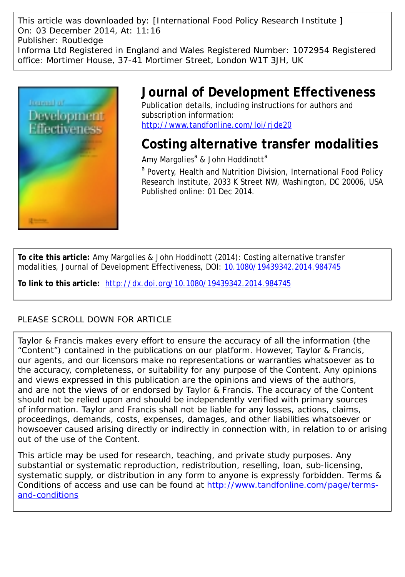This article was downloaded by: [International Food Policy Research Institute ] On: 03 December 2014, At: 11:16 Publisher: Routledge Informa Ltd Registered in England and Wales Registered Number: 1072954 Registered office: Mortimer House, 37-41 Mortimer Street, London W1T 3JH, UK



# **Journal of Development Effectiveness**

Publication details, including instructions for authors and subscription information: <http://www.tandfonline.com/loi/rjde20>

# **Costing alternative transfer modalities**

Amy Margolies<sup>a</sup> & John Hoddinott<sup>a</sup>

<sup>a</sup> Poverty, Health and Nutrition Division, International Food Policy Research Institute, 2033 K Street NW, Washington, DC 20006, USA Published online: 01 Dec 2014.

**To cite this article:** Amy Margolies & John Hoddinott (2014): Costing alternative transfer modalities, Journal of Development Effectiveness, DOI: [10.1080/19439342.2014.984745](http://www.tandfonline.com/action/showCitFormats?doi=10.1080/19439342.2014.984745)

**To link to this article:** <http://dx.doi.org/10.1080/19439342.2014.984745>

### PLEASE SCROLL DOWN FOR ARTICLE

Taylor & Francis makes every effort to ensure the accuracy of all the information (the "Content") contained in the publications on our platform. However, Taylor & Francis, our agents, and our licensors make no representations or warranties whatsoever as to the accuracy, completeness, or suitability for any purpose of the Content. Any opinions and views expressed in this publication are the opinions and views of the authors, and are not the views of or endorsed by Taylor & Francis. The accuracy of the Content should not be relied upon and should be independently verified with primary sources of information. Taylor and Francis shall not be liable for any losses, actions, claims, proceedings, demands, costs, expenses, damages, and other liabilities whatsoever or howsoever caused arising directly or indirectly in connection with, in relation to or arising out of the use of the Content.

This article may be used for research, teaching, and private study purposes. Any substantial or systematic reproduction, redistribution, reselling, loan, sub-licensing, systematic supply, or distribution in any form to anyone is expressly forbidden. Terms & Conditions of access and use can be found at [http://www.tandfonline.com/page/terms](http://www.tandfonline.com/page/terms-and-conditions)[and-conditions](http://www.tandfonline.com/page/terms-and-conditions)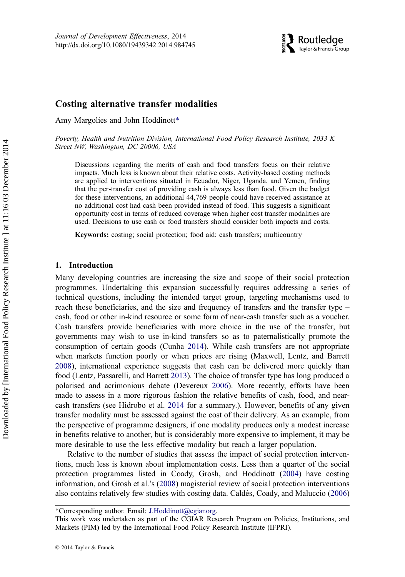

### Costing alternative transfer modalities

Amy Margolies and John Hoddinott\*

Poverty, Health and Nutrition Division, International Food Policy Research Institute, 2033 K Street NW, Washington, DC 20006, USA

Discussions regarding the merits of cash and food transfers focus on their relative impacts. Much less is known about their relative costs. Activity-based costing methods are applied to interventions situated in Ecuador, Niger, Uganda, and Yemen, finding that the per-transfer cost of providing cash is always less than food. Given the budget for these interventions, an additional 44,769 people could have received assistance at no additional cost had cash been provided instead of food. This suggests a significant opportunity cost in terms of reduced coverage when higher cost transfer modalities are used. Decisions to use cash or food transfers should consider both impacts and costs.

Keywords: costing; social protection; food aid; cash transfers; multicountry

#### 1. Introduction

Many developing countries are increasing the size and scope of their social protection programmes. Undertaking this expansion successfully requires addressing a series of technical questions, including the intended target group, targeting mechanisms used to reach these beneficiaries, and the size and frequency of transfers and the transfer type – cash, food or other in-kind resource or some form of near-cash transfer such as a voucher. Cash transfers provide beneficiaries with more choice in the use of the transfer, but governments may wish to use in-kind transfers so as to paternalistically promote the consumption of certain goods (Cunha [2014\)](#page-16-0). While cash transfers are not appropriate when markets function poorly or when prices are rising (Maxwell, Lentz, and Barrett [2008](#page-16-0)), international experience suggests that cash can be delivered more quickly than food (Lentz, Passarelli, and Barrett [2013](#page-16-0)). The choice of transfer type has long produced a polarised and acrimonious debate (Devereux [2006](#page-16-0)). More recently, efforts have been made to assess in a more rigorous fashion the relative benefits of cash, food, and nearcash transfers (see Hidrobo et al. [2014](#page-16-0) for a summary.). However, benefits of any given transfer modality must be assessed against the cost of their delivery. As an example, from the perspective of programme designers, if one modality produces only a modest increase in benefits relative to another, but is considerably more expensive to implement, it may be more desirable to use the less effective modality but reach a larger population.

Relative to the number of studies that assess the impact of social protection interventions, much less is known about implementation costs. Less than a quarter of the social protection programmes listed in Coady, Grosh, and Hoddinott ([2004\)](#page-16-0) have costing information, and Grosh et al.'s [\(2008](#page-16-0)) magisterial review of social protection interventions also contains relatively few studies with costing data. Caldés, Coady, and Maluccio ([2006\)](#page-16-0)

<sup>\*</sup>Corresponding author. Email: J.Hoddinott@cgiar.org.

This work was undertaken as part of the CGIAR Research Program on Policies, Institutions, and Markets (PIM) led by the International Food Policy Research Institute (IFPRI).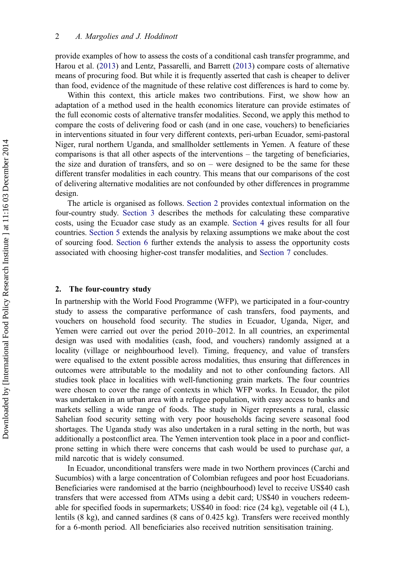provide examples of how to assess the costs of a conditional cash transfer programme, and Harou et al. [\(2013](#page-16-0)) and Lentz, Passarelli, and Barrett [\(2013\)](#page-16-0) compare costs of alternative means of procuring food. But while it is frequently asserted that cash is cheaper to deliver than food, evidence of the magnitude of these relative cost differences is hard to come by.

Within this context, this article makes two contributions. First, we show how an adaptation of a method used in the health economics literature can provide estimates of the full economic costs of alternative transfer modalities. Second, we apply this method to compare the costs of delivering food or cash (and in one case, vouchers) to beneficiaries in interventions situated in four very different contexts, peri-urban Ecuador, semi-pastoral Niger, rural northern Uganda, and smallholder settlements in Yemen. A feature of these comparisons is that all other aspects of the interventions – the targeting of beneficiaries, the size and duration of transfers, and so on – were designed to be the same for these different transfer modalities in each country. This means that our comparisons of the cost of delivering alternative modalities are not confounded by other differences in programme design.

The article is organised as follows. Section 2 provides contextual information on the four-country study. [Section 3](#page-3-0) describes the methods for calculating these comparative costs, using the Ecuador case study as an example. [Section 4](#page-7-0) gives results for all four countries. [Section 5](#page-11-0) extends the analysis by relaxing assumptions we make about the cost of sourcing food. [Section 6](#page-13-0) further extends the analysis to assess the opportunity costs associated with choosing higher-cost transfer modalities, and [Section 7](#page-15-0) concludes.

#### 2. The four-country study

In partnership with the World Food Programme (WFP), we participated in a four-country study to assess the comparative performance of cash transfers, food payments, and vouchers on household food security. The studies in Ecuador, Uganda, Niger, and Yemen were carried out over the period 2010–2012. In all countries, an experimental design was used with modalities (cash, food, and vouchers) randomly assigned at a locality (village or neighbourhood level). Timing, frequency, and value of transfers were equalised to the extent possible across modalities, thus ensuring that differences in outcomes were attributable to the modality and not to other confounding factors. All studies took place in localities with well-functioning grain markets. The four countries were chosen to cover the range of contexts in which WFP works. In Ecuador, the pilot was undertaken in an urban area with a refugee population, with easy access to banks and markets selling a wide range of foods. The study in Niger represents a rural, classic Sahelian food security setting with very poor households facing severe seasonal food shortages. The Uganda study was also undertaken in a rural setting in the north, but was additionally a postconflict area. The Yemen intervention took place in a poor and conflictprone setting in which there were concerns that cash would be used to purchase *qat*, a mild narcotic that is widely consumed.

In Ecuador, unconditional transfers were made in two Northern provinces (Carchi and Sucumbíos) with a large concentration of Colombian refugees and poor host Ecuadorians. Beneficiaries were randomised at the barrio (neighbourhood) level to receive US\$40 cash transfers that were accessed from ATMs using a debit card; US\$40 in vouchers redeemable for specified foods in supermarkets; US\$40 in food: rice (24 kg), vegetable oil (4 L), lentils (8 kg), and canned sardines (8 cans of 0.425 kg). Transfers were received monthly for a 6-month period. All beneficiaries also received nutrition sensitisation training.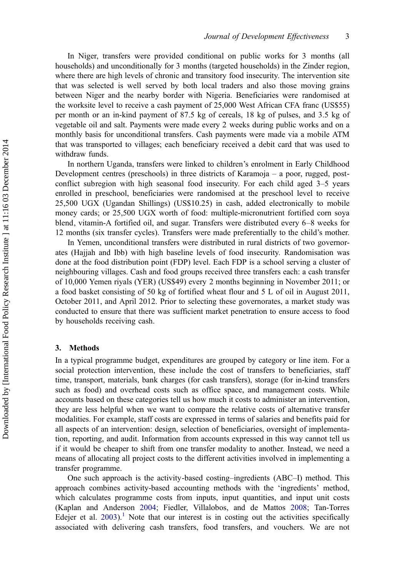<span id="page-3-0"></span>In Niger, transfers were provided conditional on public works for 3 months (all households) and unconditionally for 3 months (targeted households) in the Zinder region, where there are high levels of chronic and transitory food insecurity. The intervention site that was selected is well served by both local traders and also those moving grains between Niger and the nearby border with Nigeria. Beneficiaries were randomised at the worksite level to receive a cash payment of 25,000 West African CFA franc (US\$55) per month or an in-kind payment of 87.5 kg of cereals, 18 kg of pulses, and 3.5 kg of vegetable oil and salt. Payments were made every 2 weeks during public works and on a monthly basis for unconditional transfers. Cash payments were made via a mobile ATM that was transported to villages; each beneficiary received a debit card that was used to withdraw funds.

In northern Uganda, transfers were linked to children's enrolment in Early Childhood Development centres (preschools) in three districts of Karamoja – a poor, rugged, postconflict subregion with high seasonal food insecurity. For each child aged 3–5 years enrolled in preschool, beneficiaries were randomised at the preschool level to receive 25,500 UGX (Ugandan Shillings) (US\$10.25) in cash, added electronically to mobile money cards; or 25,500 UGX worth of food: multiple-micronutrient fortified corn soya blend, vitamin-A fortified oil, and sugar. Transfers were distributed every 6–8 weeks for 12 months (six transfer cycles). Transfers were made preferentially to the child's mother.

In Yemen, unconditional transfers were distributed in rural districts of two governorates (Hajjah and Ibb) with high baseline levels of food insecurity. Randomisation was done at the food distribution point (FDP) level. Each FDP is a school serving a cluster of neighbouring villages. Cash and food groups received three transfers each: a cash transfer of 10,000 Yemen riyals (YER) (US\$49) every 2 months beginning in November 2011; or a food basket consisting of 50 kg of fortified wheat flour and 5 L of oil in August 2011, October 2011, and April 2012. Prior to selecting these governorates, a market study was conducted to ensure that there was sufficient market penetration to ensure access to food by households receiving cash.

#### 3. Methods

In a typical programme budget, expenditures are grouped by category or line item. For a social protection intervention, these include the cost of transfers to beneficiaries, staff time, transport, materials, bank charges (for cash transfers), storage (for in-kind transfers such as food) and overhead costs such as office space, and management costs. While accounts based on these categories tell us how much it costs to administer an intervention, they are less helpful when we want to compare the relative costs of alternative transfer modalities. For example, staff costs are expressed in terms of salaries and benefits paid for all aspects of an intervention: design, selection of beneficiaries, oversight of implementation, reporting, and audit. Information from accounts expressed in this way cannot tell us if it would be cheaper to shift from one transfer modality to another. Instead, we need a means of allocating all project costs to the different activities involved in implementing a transfer programme.

One such approach is the activity-based costing–ingredients (ABC–I) method. This approach combines activity-based accounting methods with the 'ingredients' method, which calculates programme costs from inputs, input quantities, and input unit costs (Kaplan and Anderson [2004](#page-16-0); Fiedler, Villalobos, and de Mattos [2008](#page-16-0); Tan-Torres Edejer et al.  $2003$ ).<sup>[1](#page-16-0)</sup> Note that our interest is in costing out the activities specifically associated with delivering cash transfers, food transfers, and vouchers. We are not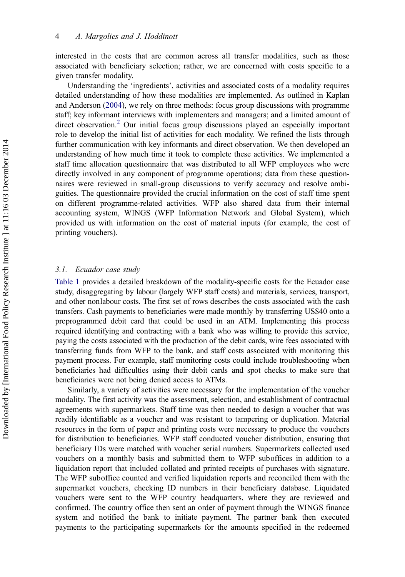interested in the costs that are common across all transfer modalities, such as those associated with beneficiary selection; rather, we are concerned with costs specific to a given transfer modality.

Understanding the 'ingredients', activities and associated costs of a modality requires detailed understanding of how these modalities are implemented. As outlined in Kaplan and Anderson ([2004\)](#page-16-0), we rely on three methods: focus group discussions with programme staff; key informant interviews with implementers and managers; and a limited amount of direct observation.<sup>[2](#page-16-0)</sup> Our initial focus group discussions played an especially important role to develop the initial list of activities for each modality. We refined the lists through further communication with key informants and direct observation. We then developed an understanding of how much time it took to complete these activities. We implemented a staff time allocation questionnaire that was distributed to all WFP employees who were directly involved in any component of programme operations; data from these questionnaires were reviewed in small-group discussions to verify accuracy and resolve ambiguities. The questionnaire provided the crucial information on the cost of staff time spent on different programme-related activities. WFP also shared data from their internal accounting system, WINGS (WFP Information Network and Global System), which provided us with information on the cost of material inputs (for example, the cost of printing vouchers).

#### 3.1. Ecuador case study

[Table 1](#page-5-0) provides a detailed breakdown of the modality-specific costs for the Ecuador case study, disaggregating by labour (largely WFP staff costs) and materials, services, transport, and other nonlabour costs. The first set of rows describes the costs associated with the cash transfers. Cash payments to beneficiaries were made monthly by transferring US\$40 onto a preprogrammed debit card that could be used in an ATM. Implementing this process required identifying and contracting with a bank who was willing to provide this service, paying the costs associated with the production of the debit cards, wire fees associated with transferring funds from WFP to the bank, and staff costs associated with monitoring this payment process. For example, staff monitoring costs could include troubleshooting when beneficiaries had difficulties using their debit cards and spot checks to make sure that beneficiaries were not being denied access to ATMs.

Similarly, a variety of activities were necessary for the implementation of the voucher modality. The first activity was the assessment, selection, and establishment of contractual agreements with supermarkets. Staff time was then needed to design a voucher that was readily identifiable as a voucher and was resistant to tampering or duplication. Material resources in the form of paper and printing costs were necessary to produce the vouchers for distribution to beneficiaries. WFP staff conducted voucher distribution, ensuring that beneficiary IDs were matched with voucher serial numbers. Supermarkets collected used vouchers on a monthly basis and submitted them to WFP suboffices in addition to a liquidation report that included collated and printed receipts of purchases with signature. The WFP suboffice counted and verified liquidation reports and reconciled them with the supermarket vouchers, checking ID numbers in their beneficiary database. Liquidated vouchers were sent to the WFP country headquarters, where they are reviewed and confirmed. The country office then sent an order of payment through the WINGS finance system and notified the bank to initiate payment. The partner bank then executed payments to the participating supermarkets for the amounts specified in the redeemed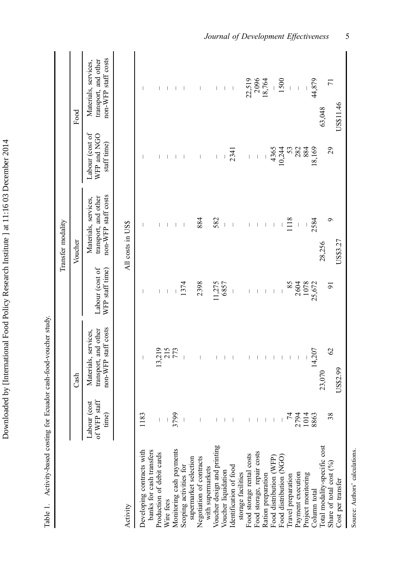<span id="page-5-0"></span>

Downloaded by [International Food Policy Research Institute ] at 11:16 03 December 2014 Downloaded by [International Food Policy Research Institute ] at 11:16 03 December 2014

Table 1. Activity-based costing for Ecuador cash-food-voucher study. Table 1. Activity-based costing for Ecuador cash-food-voucher study.

Source: Authors' calculations. Source: Authors' calculations.

Journal of Development Effectiveness 5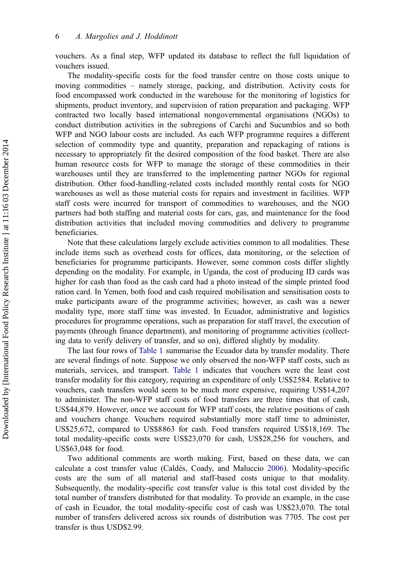vouchers. As a final step, WFP updated its database to reflect the full liquidation of vouchers issued.

The modality-specific costs for the food transfer centre on those costs unique to moving commodities – namely storage, packing, and distribution. Activity costs for food encompassed work conducted in the warehouse for the monitoring of logistics for shipments, product inventory, and supervision of ration preparation and packaging. WFP contracted two locally based international nongovernmental organisations (NGOs) to conduct distribution activities in the subregions of Carchi and Sucumbíos and so both WFP and NGO labour costs are included. As each WFP programme requires a different selection of commodity type and quantity, preparation and repackaging of rations is necessary to appropriately fit the desired composition of the food basket. There are also human resource costs for WFP to manage the storage of these commodities in their warehouses until they are transferred to the implementing partner NGOs for regional distribution. Other food-handling-related costs included monthly rental costs for NGO warehouses as well as those material costs for repairs and investment in facilities. WFP staff costs were incurred for transport of commodities to warehouses, and the NGO partners had both staffing and material costs for cars, gas, and maintenance for the food distribution activities that included moving commodities and delivery to programme beneficiaries.

Note that these calculations largely exclude activities common to all modalities. These include items such as overhead costs for offices, data monitoring, or the selection of beneficiaries for programme participants. However, some common costs differ slightly depending on the modality. For example, in Uganda, the cost of producing ID cards was higher for cash than food as the cash card had a photo instead of the simple printed food ration card. In Yemen, both food and cash required mobilisation and sensitisation costs to make participants aware of the programme activities; however, as cash was a newer modality type, more staff time was invested. In Ecuador, administrative and logistics procedures for programme operations, such as preparation for staff travel, the execution of payments (through finance department), and monitoring of programme activities (collecting data to verify delivery of transfer, and so on), differed slightly by modality.

The last four rows of [Table 1](#page-5-0) summarise the Ecuador data by transfer modality. There are several findings of note. Suppose we only observed the non-WFP staff costs, such as materials, services, and transport. [Table 1](#page-5-0) indicates that vouchers were the least cost transfer modality for this category, requiring an expenditure of only US\$2584. Relative to vouchers, cash transfers would seem to be much more expensive, requiring US\$14,207 to administer. The non-WFP staff costs of food transfers are three times that of cash, US\$44,879. However, once we account for WFP staff costs, the relative positions of cash and vouchers change. Vouchers required substantially more staff time to administer, US\$25,672, compared to US\$8863 for cash. Food transfers required US\$18,169. The total modality-specific costs were US\$23,070 for cash, US\$28,256 for vouchers, and US\$63,048 for food.

Two additional comments are worth making. First, based on these data, we can calculate a cost transfer value (Caldés, Coady, and Maluccio [2006\)](#page-16-0). Modality-specific costs are the sum of all material and staff-based costs unique to that modality. Subsequently, the modality-specific cost transfer value is this total cost divided by the total number of transfers distributed for that modality. To provide an example, in the case of cash in Ecuador, the total modality-specific cost of cash was US\$23,070. The total number of transfers delivered across six rounds of distribution was 7705. The cost per transfer is thus USD\$2.99.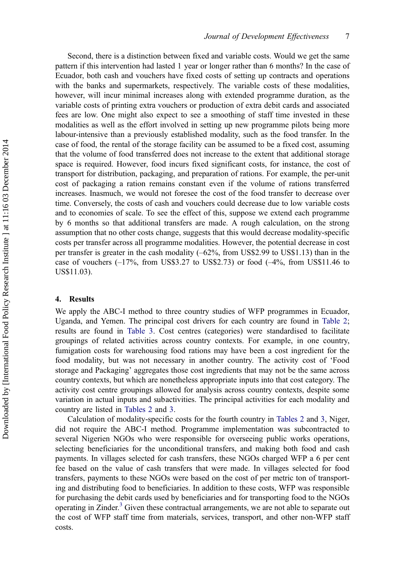<span id="page-7-0"></span>Second, there is a distinction between fixed and variable costs. Would we get the same pattern if this intervention had lasted 1 year or longer rather than 6 months? In the case of Ecuador, both cash and vouchers have fixed costs of setting up contracts and operations with the banks and supermarkets, respectively. The variable costs of these modalities, however, will incur minimal increases along with extended programme duration, as the variable costs of printing extra vouchers or production of extra debit cards and associated fees are low. One might also expect to see a smoothing of staff time invested in these modalities as well as the effort involved in setting up new programme pilots being more labour-intensive than a previously established modality, such as the food transfer. In the case of food, the rental of the storage facility can be assumed to be a fixed cost, assuming that the volume of food transferred does not increase to the extent that additional storage space is required. However, food incurs fixed significant costs, for instance, the cost of transport for distribution, packaging, and preparation of rations. For example, the per-unit cost of packaging a ration remains constant even if the volume of rations transferred increases. Inasmuch, we would not foresee the cost of the food transfer to decrease over time. Conversely, the costs of cash and vouchers could decrease due to low variable costs and to economies of scale. To see the effect of this, suppose we extend each programme by 6 months so that additional transfers are made. A rough calculation, on the strong assumption that no other costs change, suggests that this would decrease modality-specific costs per transfer across all programme modalities. However, the potential decrease in cost per transfer is greater in the cash modality (–62%, from US\$2.99 to US\$1.13) than in the case of vouchers  $(-17\%$ , from US\$3.27 to US\$2.73) or food  $(-4\%$ , from US\$11.46 to US\$11.03).

#### 4. Results

We apply the ABC-I method to three country studies of WFP programmes in Ecuador, Uganda, and Yemen. The principal cost drivers for each country are found in [Table 2](#page-8-0); results are found in [Table 3.](#page-9-0) Cost centres (categories) were standardised to facilitate groupings of related activities across country contexts. For example, in one country, fumigation costs for warehousing food rations may have been a cost ingredient for the food modality, but was not necessary in another country. The activity cost of 'Food storage and Packaging' aggregates those cost ingredients that may not be the same across country contexts, but which are nonetheless appropriate inputs into that cost category. The activity cost centre groupings allowed for analysis across country contexts, despite some variation in actual inputs and subactivities. The principal activities for each modality and country are listed in [Tables 2](#page-8-0) and [3.](#page-9-0)

Calculation of modality-specific costs for the fourth country in [Tables 2](#page-8-0) and [3,](#page-9-0) Niger, did not require the ABC-I method. Programme implementation was subcontracted to several Nigerien NGOs who were responsible for overseeing public works operations, selecting beneficiaries for the unconditional transfers, and making both food and cash payments. In villages selected for cash transfers, these NGOs charged WFP a 6 per cent fee based on the value of cash transfers that were made. In villages selected for food transfers, payments to these NGOs were based on the cost of per metric ton of transporting and distributing food to beneficiaries. In addition to these costs, WFP was responsible for purchasing the debit cards used by beneficiaries and for transporting food to the NGOs operating in Zinder. $3$  Given these contractual arrangements, we are not able to separate out the cost of WFP staff time from materials, services, transport, and other non-WFP staff costs.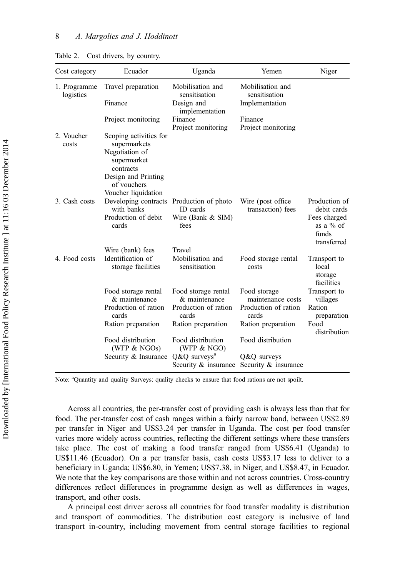| Cost category             | Ecuador                                                   | Uganda                                             | Yemen                                   | Niger                                                |
|---------------------------|-----------------------------------------------------------|----------------------------------------------------|-----------------------------------------|------------------------------------------------------|
| 1. Programme<br>logistics | Travel preparation                                        | Mobilisation and<br>sensitisation                  | Mobilisation and<br>sensitisation       |                                                      |
|                           | Finance                                                   | Design and<br>implementation                       | Implementation                          |                                                      |
|                           | Project monitoring                                        | Finance<br>Project monitoring                      | Finance<br>Project monitoring           |                                                      |
| 2. Voucher<br>costs       | Scoping activities for<br>supermarkets<br>Negotiation of  |                                                    |                                         |                                                      |
|                           | supermarket<br>contracts                                  |                                                    |                                         |                                                      |
|                           | Design and Printing<br>of vouchers                        |                                                    |                                         |                                                      |
| 3. Cash costs             | Voucher liquidation<br>Developing contracts<br>with banks | Production of photo<br><b>ID</b> cards             | Wire (post office)<br>transaction) fees | Production of<br>debit cards                         |
|                           | Production of debit<br>cards                              | Wire (Bank $&$ SIM)<br>fees                        |                                         | Fees charged<br>as a $\%$ of<br>funds<br>transferred |
|                           | Wire (bank) fees                                          | Travel                                             |                                         |                                                      |
| 4. Food costs             | Identification of<br>storage facilities                   | Mobilisation and<br>sensitisation                  | Food storage rental<br>costs            | Transport to<br>local<br>storage<br>facilities       |
|                           | Food storage rental<br>& maintenance                      | Food storage rental<br>& maintenance               | Food storage<br>maintenance costs       | Transport to<br>villages                             |
|                           | Production of ration<br>cards                             | Production of ration<br>cards                      | Production of ration<br>cards           | Ration<br>preparation                                |
|                           | Ration preparation                                        | Ration preparation                                 | Ration preparation                      | Food<br>distribution                                 |
|                           | Food distribution<br>(WFP $& NGOs$ )                      | Food distribution<br>(WFP $& NGO$ )                | Food distribution                       |                                                      |
|                           | Security & Insurance                                      | $Q&Q$ surveys <sup>a</sup><br>Security & insurance | $Q&Q$ surveys<br>Security & insurance   |                                                      |

<span id="page-8-0"></span>Table 2. Cost drivers, by country.

Note: <sup>a</sup>Quantity and quality Surveys: quality checks to ensure that food rations are not spoilt.

Across all countries, the per-transfer cost of providing cash is always less than that for food. The per-transfer cost of cash ranges within a fairly narrow band, between US\$2.89 per transfer in Niger and US\$3.24 per transfer in Uganda. The cost per food transfer varies more widely across countries, reflecting the different settings where these transfers take place. The cost of making a food transfer ranged from US\$6.41 (Uganda) to US\$11.46 (Ecuador). On a per transfer basis, cash costs US\$3.17 less to deliver to a beneficiary in Uganda; US\$6.80, in Yemen; US\$7.38, in Niger; and US\$8.47, in Ecuador. We note that the key comparisons are those within and not across countries. Cross-country differences reflect differences in programme design as well as differences in wages, transport, and other costs.

A principal cost driver across all countries for food transfer modality is distribution and transport of commodities. The distribution cost category is inclusive of land transport in-country, including movement from central storage facilities to regional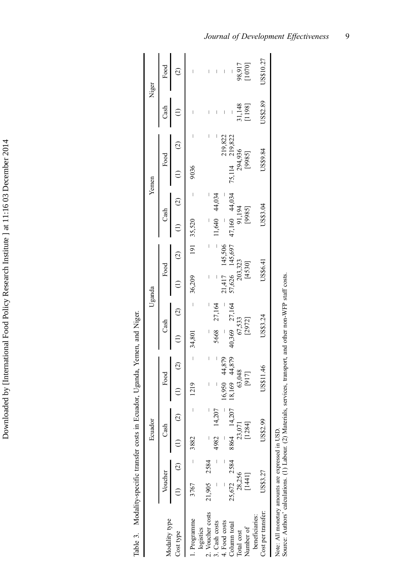<span id="page-9-0"></span>

|                                                                                                                                                                   |             |     | Ecuador  |              |                 |               |        |                        | Uganda |                                  |               |               | Yemen   |                           |                  | Niger                    |
|-------------------------------------------------------------------------------------------------------------------------------------------------------------------|-------------|-----|----------|--------------|-----------------|---------------|--------|------------------------|--------|----------------------------------|---------------|---------------|---------|---------------------------|------------------|--------------------------|
| Modality type                                                                                                                                                     | Voucher     |     | Cash     |              | Food            |               | Cash   |                        |        | Food                             |               | Cash          | Food    |                           | ්ය               | Food                     |
| Cost type                                                                                                                                                         |             | (2) |          | $\odot$      |                 | $\widehat{c}$ | Ξ      | $\widehat{\mathbb{C}}$ |        | $\widehat{c}$                    |               | $\widehat{c}$ |         | $\widehat{\alpha}$        |                  | ପ୍                       |
| . Programme                                                                                                                                                       | 3767        |     | 3882     |              | 1219            |               | 34,801 |                        | 36,209 |                                  | 191 35,520    |               | 9036    |                           |                  |                          |
| 2. Voucher costs<br>logistics                                                                                                                                     | 21,905 2584 |     |          |              | I               |               |        |                        | I      |                                  |               |               |         | I                         | I                | I                        |
| 3. Cash costs                                                                                                                                                     |             |     | 4982     | <b>1.207</b> |                 |               | 5668   | 27,164                 |        |                                  |               | 1,640 44,034  |         |                           |                  | I                        |
| 4. Food costs                                                                                                                                                     |             |     |          |              | $16,950$ 44,879 |               |        |                        |        |                                  |               |               |         |                           | I                | I                        |
| Column total                                                                                                                                                      | 25,672 2584 |     | 8864 14  | 1,207        | 18,169 44,879   |               |        | 40,369 27,164          |        | 21,417 145,506<br>57,626 145,697 | 47,160 44,034 |               |         | 219,822<br>75,114 219,822 |                  | $\overline{\phantom{a}}$ |
| Total cost                                                                                                                                                        | 28,256      |     | 23,071   |              | 63,048          |               | 67,533 |                        |        | 203,323                          | 91,194        |               | 294,936 |                           |                  |                          |
| Number of                                                                                                                                                         | $[1441]$    |     | [1284]   |              | [917]           |               | [2972] |                        |        | [4530]                           | [9985]        |               | [9985]  |                           | 31,148<br>[1198] | 98,917<br>[1070]         |
| Cost per transfer:<br>beneficiaries:                                                                                                                              | US\$3.27    |     | US\$2.99 |              | US\$11.46       |               |        | JS\$3.24               |        | JS\$6.41                         |               | JS\$3.04      |         | JS\$9.84                  | <b>JS\$2.89</b>  | JS\$10.27                |
| Source: Authors' calculations. (1) Labour. (2) Materials, services, transport, and other non-WFP staff costs.<br>Note: All monetary amounts are expressed in USD. |             |     |          |              |                 |               |        |                        |        |                                  |               |               |         |                           |                  |                          |

Modality-specific transfer costs in Ecuador, Uganda, Yemen, and Niger. Table 3. Modality-specific transfer costs in Ecuador, Uganda, Yemen, and Niger. Table 3. 9

Journal of Development Effectiveness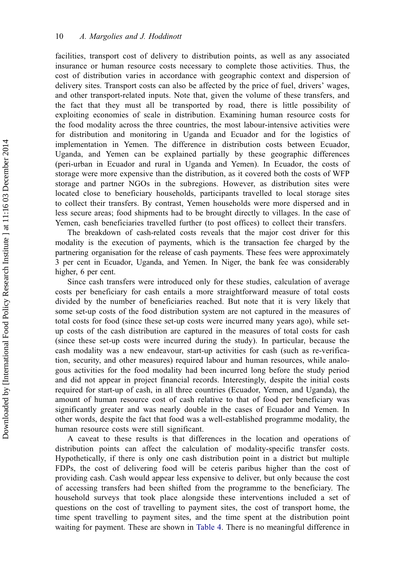facilities, transport cost of delivery to distribution points, as well as any associated insurance or human resource costs necessary to complete those activities. Thus, the cost of distribution varies in accordance with geographic context and dispersion of delivery sites. Transport costs can also be affected by the price of fuel, drivers' wages, and other transport-related inputs. Note that, given the volume of these transfers, and the fact that they must all be transported by road, there is little possibility of exploiting economies of scale in distribution. Examining human resource costs for the food modality across the three countries, the most labour-intensive activities were for distribution and monitoring in Uganda and Ecuador and for the logistics of implementation in Yemen. The difference in distribution costs between Ecuador, Uganda, and Yemen can be explained partially by these geographic differences (peri-urban in Ecuador and rural in Uganda and Yemen). In Ecuador, the costs of storage were more expensive than the distribution, as it covered both the costs of WFP storage and partner NGOs in the subregions. However, as distribution sites were located close to beneficiary households, participants travelled to local storage sites to collect their transfers. By contrast, Yemen households were more dispersed and in less secure areas; food shipments had to be brought directly to villages. In the case of Yemen, cash beneficiaries travelled further (to post offices) to collect their transfers.

The breakdown of cash-related costs reveals that the major cost driver for this modality is the execution of payments, which is the transaction fee charged by the partnering organisation for the release of cash payments. These fees were approximately 3 per cent in Ecuador, Uganda, and Yemen. In Niger, the bank fee was considerably higher, 6 per cent.

Since cash transfers were introduced only for these studies, calculation of average costs per beneficiary for cash entails a more straightforward measure of total costs divided by the number of beneficiaries reached. But note that it is very likely that some set-up costs of the food distribution system are not captured in the measures of total costs for food (since these set-up costs were incurred many years ago), while setup costs of the cash distribution are captured in the measures of total costs for cash (since these set-up costs were incurred during the study). In particular, because the cash modality was a new endeavour, start-up activities for cash (such as re-verification, security, and other measures) required labour and human resources, while analogous activities for the food modality had been incurred long before the study period and did not appear in project financial records. Interestingly, despite the initial costs required for start-up of cash, in all three countries (Ecuador, Yemen, and Uganda), the amount of human resource cost of cash relative to that of food per beneficiary was significantly greater and was nearly double in the cases of Ecuador and Yemen. In other words, despite the fact that food was a well-established programme modality, the human resource costs were still significant.

A caveat to these results is that differences in the location and operations of distribution points can affect the calculation of modality-specific transfer costs. Hypothetically, if there is only one cash distribution point in a district but multiple FDPs, the cost of delivering food will be ceteris paribus higher than the cost of providing cash. Cash would appear less expensive to deliver, but only because the cost of accessing transfers had been shifted from the programme to the beneficiary. The household surveys that took place alongside these interventions included a set of questions on the cost of travelling to payment sites, the cost of transport home, the time spent travelling to payment sites, and the time spent at the distribution point waiting for payment. These are shown in [Table 4.](#page-9-0) There is no meaningful difference in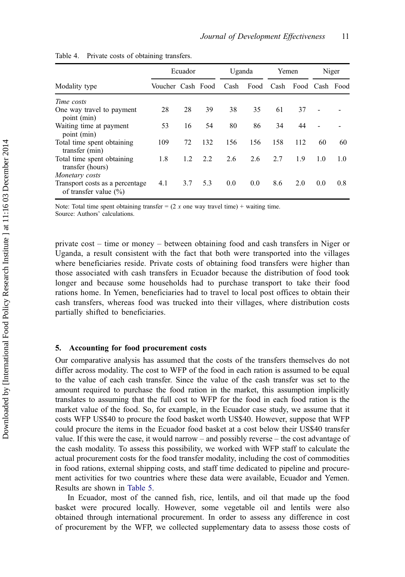|                                                                               |                   | Ecuador |     | Uganda |      | Yemen |                     |     | Niger |
|-------------------------------------------------------------------------------|-------------------|---------|-----|--------|------|-------|---------------------|-----|-------|
| Modality type                                                                 | Voucher Cash Food |         |     | Cash   | Food |       | Cash Food Cash Food |     |       |
| Time costs                                                                    |                   |         |     |        |      |       |                     |     |       |
| One way travel to payment<br>point (min)                                      | 28                | 28      | 39  | 38     | 35   | 61    | 37                  |     |       |
| Waiting time at payment<br>point (min)                                        | 53                | 16      | 54  | 80     | 86   | 34    | 44                  |     |       |
| Total time spent obtaining<br>transfer (min)                                  | 109               | 72      | 132 | 156    | 156  | 158   | 112                 | 60  | 60    |
| Total time spent obtaining<br>transfer (hours)                                | 1.8               | 1.2     | 2.2 | 2.6    | 2.6  | 2.7   | 1.9                 | 1.0 | 1.0   |
| Monetary costs<br>Transport costs as a percentage<br>of transfer value $(\%)$ | 4.1               | 3.7     | 5.3 | 0.0    | 0.0  | 8.6   | 2.0                 | 0.0 | 0.8   |

<span id="page-11-0"></span>Table 4. Private costs of obtaining transfers.

Note: Total time spent obtaining transfer  $= (2 x \text{ one way travel time}) + \text{waiting time}.$ Source: Authors' calculations.

private cost – time or money – between obtaining food and cash transfers in Niger or Uganda, a result consistent with the fact that both were transported into the villages where beneficiaries reside. Private costs of obtaining food transfers were higher than those associated with cash transfers in Ecuador because the distribution of food took longer and because some households had to purchase transport to take their food rations home. In Yemen, beneficiaries had to travel to local post offices to obtain their cash transfers, whereas food was trucked into their villages, where distribution costs partially shifted to beneficiaries.

#### 5. Accounting for food procurement costs

Our comparative analysis has assumed that the costs of the transfers themselves do not differ across modality. The cost to WFP of the food in each ration is assumed to be equal to the value of each cash transfer. Since the value of the cash transfer was set to the amount required to purchase the food ration in the market, this assumption implicitly translates to assuming that the full cost to WFP for the food in each food ration is the market value of the food. So, for example, in the Ecuador case study, we assume that it costs WFP US\$40 to procure the food basket worth US\$40. However, suppose that WFP could procure the items in the Ecuador food basket at a cost below their US\$40 transfer value. If this were the case, it would narrow – and possibly reverse – the cost advantage of the cash modality. To assess this possibility, we worked with WFP staff to calculate the actual procurement costs for the food transfer modality, including the cost of commodities in food rations, external shipping costs, and staff time dedicated to pipeline and procurement activities for two countries where these data were available, Ecuador and Yemen. Results are shown in Table 5.

In Ecuador, most of the canned fish, rice, lentils, and oil that made up the food basket were procured locally. However, some vegetable oil and lentils were also obtained through international procurement. In order to assess any difference in cost of procurement by the WFP, we collected supplementary data to assess those costs of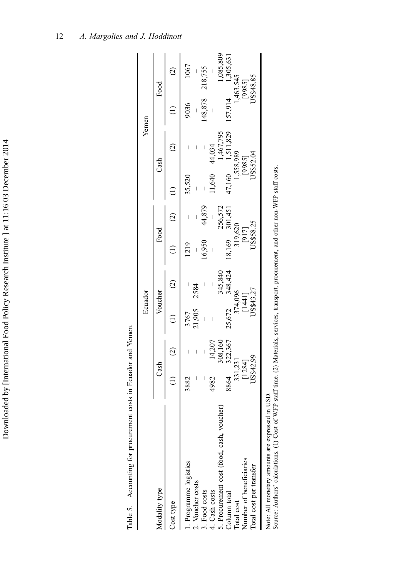<span id="page-12-0"></span>

|                                                                                               |         |                    |        | Ecuador                                                                                         |               |                    |        |                          | Yemen                          |           |
|-----------------------------------------------------------------------------------------------|---------|--------------------|--------|-------------------------------------------------------------------------------------------------|---------------|--------------------|--------|--------------------------|--------------------------------|-----------|
| Modality type                                                                                 |         | Cash               |        | <i>l</i> oucher                                                                                 | $_{\rm Food}$ |                    |        | $\mathop{\mathrm{Cash}}$ |                                | Food      |
| Cost type                                                                                     |         | $\widehat{\omega}$ |        |                                                                                                 |               | $\widehat{c}$      |        |                          |                                | ୍ବ        |
| . Programme logistics                                                                         | 3882    |                    | 3767   |                                                                                                 | 1219          |                    | 35,520 |                          | 9036                           | .067      |
| 2. Voucher costs                                                                              |         | I                  | 21,905 | 2584                                                                                            |               |                    |        |                          |                                |           |
| 3. Food costs                                                                                 |         |                    |        |                                                                                                 | 6,950         | 44,879             |        |                          | 48,878                         | 218,755   |
| 4. Cash costs                                                                                 | 4982    | 14,207             | I      |                                                                                                 |               |                    | 1,640  | 44,034                   |                                |           |
| 5. Procurement cost (food, cash, voucher)                                                     |         | 308,160            |        | 345,840                                                                                         |               |                    |        | 1,467,795                | $\begin{array}{c} \end{array}$ | ,085,809  |
| Column total                                                                                  | 8864    | 322.367            | 25,672 | 348,424                                                                                         | 8.169         | 256,572<br>301,451 | 47,160 | 1,511,829                | 57,914                         | 1,305,631 |
| Total cost                                                                                    | 331,231 |                    |        | 374,096                                                                                         |               | 319,620            |        | .,558,989                |                                | 1,463,545 |
| Number of beneficiaries                                                                       |         | [1284]             |        | [144]                                                                                           | [917]         |                    |        | [9985]                   |                                | [9985]    |
| Total cost per transfer                                                                       |         | JS\$42.99          |        | JS\$43.27                                                                                       |               | JS\$58.25          |        | JS\$52.04                |                                | JS\$48.85 |
| Note: All monetary amounts are expressed in USD<br>Source: Authors' calculations. (1) Cost of |         |                    |        | WFP staff time. (2) Materials, services, transport, procurement, and other non-WFP staff costs. |               |                    |        |                          |                                |           |

|        | ï<br>$\sim$                                        |
|--------|----------------------------------------------------|
|        | ;<br>֧֖֖֚֚֚֚֚֚֚֚֚֚֚֝֟֝֝֝֝֝֬֝֝֝֬֝֬֝֟֓֝֬֝֬֝֬֝֬֝֬֝֬֝֬ |
|        | l                                                  |
|        |                                                    |
|        |                                                    |
|        | I                                                  |
|        | uall umut.<br>j                                    |
| נ<br>ל | $\frac{1}{2}$                                      |
|        |                                                    |
|        |                                                    |
|        | ļ                                                  |
|        | j,                                                 |
|        |                                                    |
|        | l                                                  |
| i<br>⊃ | .<br>הייייים<br>5<br>j<br>י                        |

Table 5. Accounting for procurement costs in Ecuador and Yemen.

Table 5. Accounting for procurement costs in Ecuador and Yemen.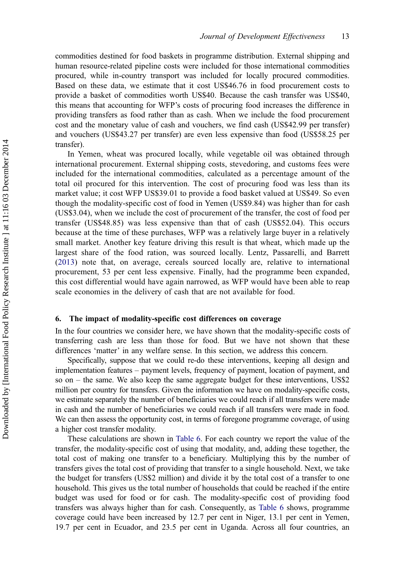<span id="page-13-0"></span>commodities destined for food baskets in programme distribution. External shipping and human resource-related pipeline costs were included for those international commodities procured, while in-country transport was included for locally procured commodities. Based on these data, we estimate that it cost US\$46.76 in food procurement costs to provide a basket of commodities worth US\$40. Because the cash transfer was US\$40, this means that accounting for WFP's costs of procuring food increases the difference in providing transfers as food rather than as cash. When we include the food procurement cost and the monetary value of cash and vouchers, we find cash (US\$42.99 per transfer) and vouchers (US\$43.27 per transfer) are even less expensive than food (US\$58.25 per transfer).

In Yemen, wheat was procured locally, while vegetable oil was obtained through international procurement. External shipping costs, stevedoring, and customs fees were included for the international commodities, calculated as a percentage amount of the total oil procured for this intervention. The cost of procuring food was less than its market value; it cost WFP US\$39.01 to provide a food basket valued at US\$49. So even though the modality-specific cost of food in Yemen (US\$9.84) was higher than for cash (US\$3.04), when we include the cost of procurement of the transfer, the cost of food per transfer (US\$48.85) was less expensive than that of cash (US\$52.04). This occurs because at the time of these purchases, WFP was a relatively large buyer in a relatively small market. Another key feature driving this result is that wheat, which made up the largest share of the food ration, was sourced locally. Lentz, Passarelli, and Barrett ([2013](#page-16-0)) note that, on average, cereals sourced locally are, relative to international procurement, 53 per cent less expensive. Finally, had the programme been expanded, this cost differential would have again narrowed, as WFP would have been able to reap scale economies in the delivery of cash that are not available for food.

#### 6. The impact of modality-specific cost differences on coverage

In the four countries we consider here, we have shown that the modality-specific costs of transferring cash are less than those for food. But we have not shown that these differences 'matter' in any welfare sense. In this section, we address this concern.

Specifically, suppose that we could re-do these interventions, keeping all design and implementation features – payment levels, frequency of payment, location of payment, and so on – the same. We also keep the same aggregate budget for these interventions, US\$2 million per country for transfers. Given the information we have on modality-specific costs, we estimate separately the number of beneficiaries we could reach if all transfers were made in cash and the number of beneficiaries we could reach if all transfers were made in food. We can then assess the opportunity cost, in terms of foregone programme coverage, of using a higher cost transfer modality.

These calculations are shown in [Table 6](#page-12-0). For each country we report the value of the transfer, the modality-specific cost of using that modality, and, adding these together, the total cost of making one transfer to a beneficiary. Multiplying this by the number of transfers gives the total cost of providing that transfer to a single household. Next, we take the budget for transfers (US\$2 million) and divide it by the total cost of a transfer to one household. This gives us the total number of households that could be reached if the entire budget was used for food or for cash. The modality-specific cost of providing food transfers was always higher than for cash. Consequently, as [Table 6](#page-12-0) shows, programme coverage could have been increased by 12.7 per cent in Niger, 13.1 per cent in Yemen, 19.7 per cent in Ecuador, and 23.5 per cent in Uganda. Across all four countries, an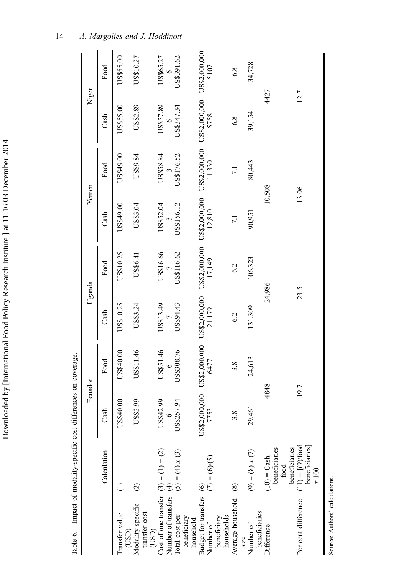| Table 6. Impact of modality-specific cost differences on coverage. |                                                                      |                       |                       |                         |                         |                         |                         |                       |                       |
|--------------------------------------------------------------------|----------------------------------------------------------------------|-----------------------|-----------------------|-------------------------|-------------------------|-------------------------|-------------------------|-----------------------|-----------------------|
|                                                                    |                                                                      | Ecuador               |                       |                         | Uganda                  |                         | Yemen                   | Niger                 |                       |
|                                                                    | Calculation                                                          | ash                   | Food                  | Cash                    | Food                    | Cash                    | Food                    | Cash                  | Food                  |
| Iransfer value                                                     |                                                                      | US\$40.00             | US\$40.00             | US\$10.25               | US\$10.25               | US\$49.00               | US\$49.00               | US\$55.00             | US\$55.00             |
| Modality-specific<br>transfer cost<br>(USD)<br>(USD)               | $\odot$                                                              | US\$2.99              | US\$11.46             | US\$3.24                | US\$6.41                | US\$3.04                | US\$9.84                | US\$2.89              | US\$10.27             |
| Cost of one transfer $(3) = (1) + (2)$<br>Number of transfers (4)  |                                                                      | US\$42.99<br>$\circ$  | US\$51.46             | US\$13.49               | US\$16.66               | US\$52.04               | US\$58.84               | US\$57.89             | US\$65.27             |
| Total cost per<br>beneficiary                                      | $(5) = (4) x (3)$                                                    | US\$257.94            | US\$308.76            | US\$94.43               | US\$116.62              | US\$156.12              | US\$176.52              | US\$347.34            | US\$391.62            |
| Budget for transfers (6)<br>beneficiary<br>household<br>Number of  | $(7) = (6)(5)$                                                       | US\$2,000,000<br>7753 | US\$2,000,000<br>6477 | US\$2,000,000<br>21,179 | US\$2,000,000<br>17,149 | US\$2,000,000<br>12,810 | US\$2,000,000<br>11,330 | US\$2,000,000<br>5758 | US\$2,000,000<br>5107 |
| Average household<br>households                                    | $\circledast$                                                        | 3.8                   | 3.8                   | 6.2                     | 6.2                     | $\overline{71}$         | $\overline{7.1}$        | 6.8                   | 6.8                   |
| beneficiaries<br>Number of<br>size                                 | $(9) = (8) x (7)$                                                    | ,461<br>$^{29}$       | 24,613                | 131,309                 | 106,323                 | 90,951                  | 80,443                  | 39,154                | 34,728                |
| Difference                                                         | $b$ eneficiaries<br>-- food<br>$(10) =$ Cash                         | 4848                  |                       |                         | 24,986                  |                         | 10,508                  |                       | 4427                  |
| Per cent difference                                                | $(11) = [(9)/\text{food}$<br>beneficiaries]<br>beneficiaries<br>x100 |                       | 19.7                  |                         | 23.5                    |                         | 13.06                   |                       | 12.7                  |

14 A. Margolies and J. Hoddinott

Downloaded by [International Food Policy Research Institute ] at 11:16 03 December 2014 Downloaded by [International Food Policy Research Institute ] at 11:16 03 December 2014

> Source: Authors' calculations. Source: Authors' calculations.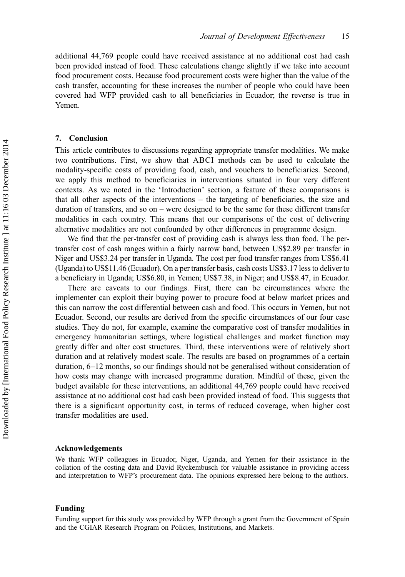<span id="page-15-0"></span>additional 44,769 people could have received assistance at no additional cost had cash been provided instead of food. These calculations change slightly if we take into account food procurement costs. Because food procurement costs were higher than the value of the cash transfer, accounting for these increases the number of people who could have been covered had WFP provided cash to all beneficiaries in Ecuador; the reverse is true in Yemen.

#### 7. Conclusion

This article contributes to discussions regarding appropriate transfer modalities. We make two contributions. First, we show that ABCI methods can be used to calculate the modality-specific costs of providing food, cash, and vouchers to beneficiaries. Second, we apply this method to beneficiaries in interventions situated in four very different contexts. As we noted in the 'Introduction' section, a feature of these comparisons is that all other aspects of the interventions – the targeting of beneficiaries, the size and duration of transfers, and so on – were designed to be the same for these different transfer modalities in each country. This means that our comparisons of the cost of delivering alternative modalities are not confounded by other differences in programme design.

We find that the per-transfer cost of providing cash is always less than food. The pertransfer cost of cash ranges within a fairly narrow band, between US\$2.89 per transfer in Niger and US\$3.24 per transfer in Uganda. The cost per food transfer ranges from US\$6.41 (Uganda) to US\$11.46 (Ecuador). On a per transfer basis, cash costs US\$3.17 less to deliver to a beneficiary in Uganda; US\$6.80, in Yemen; US\$7.38, in Niger; and US\$8.47, in Ecuador.

There are caveats to our findings. First, there can be circumstances where the implementer can exploit their buying power to procure food at below market prices and this can narrow the cost differential between cash and food. This occurs in Yemen, but not Ecuador. Second, our results are derived from the specific circumstances of our four case studies. They do not, for example, examine the comparative cost of transfer modalities in emergency humanitarian settings, where logistical challenges and market function may greatly differ and alter cost structures. Third, these interventions were of relatively short duration and at relatively modest scale. The results are based on programmes of a certain duration, 6–12 months, so our findings should not be generalised without consideration of how costs may change with increased programme duration. Mindful of these, given the budget available for these interventions, an additional 44,769 people could have received assistance at no additional cost had cash been provided instead of food. This suggests that there is a significant opportunity cost, in terms of reduced coverage, when higher cost transfer modalities are used.

#### Acknowledgements

We thank WFP colleagues in Ecuador, Niger, Uganda, and Yemen for their assistance in the collation of the costing data and David Ryckembusch for valuable assistance in providing access and interpretation to WFP's procurement data. The opinions expressed here belong to the authors.

#### Funding

Funding support for this study was provided by WFP through a grant from the Government of Spain and the CGIAR Research Program on Policies, Institutions, and Markets.